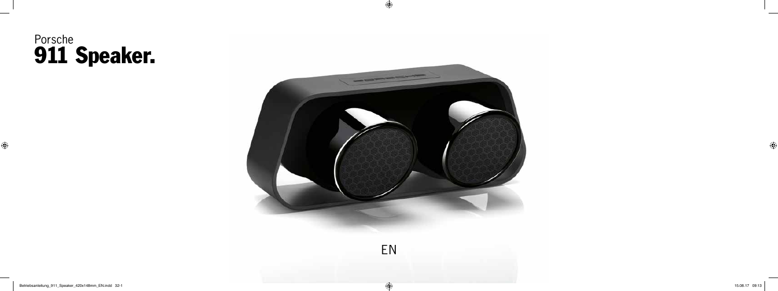# Porsche 911 Speaker.



 $\bigoplus$ 

 $\bigoplus$ 

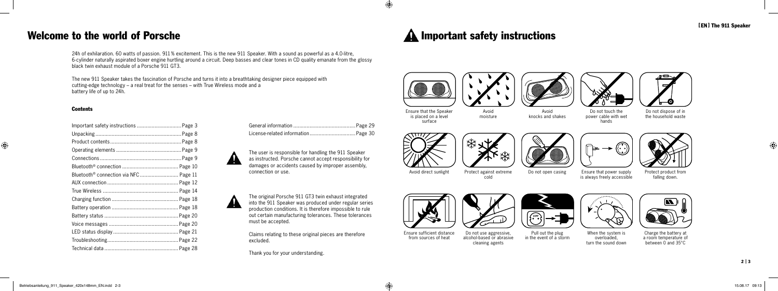

⊕

| Important safety instructions  Page 3 |  |
|---------------------------------------|--|
|                                       |  |
|                                       |  |
|                                       |  |
|                                       |  |
|                                       |  |
|                                       |  |
|                                       |  |
|                                       |  |
|                                       |  |
|                                       |  |
|                                       |  |
|                                       |  |
|                                       |  |
|                                       |  |
|                                       |  |

Avoid direct sunlight Protect against extreme cold





Do not open casing Ensure that power supply is always freely accessible

#### Welcome to the world of Porsche

24h of exhilaration. 60 watts of passion. 911% excitement. This is the new 911 Speaker. With a sound as powerful as a 4.0-litre, 6-cylinder naturally aspirated boxer engine hurtling around a circuit. Deep basses and clear tones in CD quality emanate from the glossy black twin exhaust module of a Porsche 911 GT3.

The new 911 Speaker takes the fascination of Porsche and turns it into a breathtaking designer piece equipped with cutting-edge technology – a real treat for the senses – with True Wireless mode and a battery life of up to 24h.

#### **Contents**

 $\bigoplus$ 

Ensure that the Speaker is placed on a level surface

 $\bigoplus$ 

Avoid moisture

Avoid knocks and shakes









Do not touch the power cable with wet hands



Do not dispose of in the household waste



Protect product from falling down.





Ensure sufficient distance from sources of heat Do not use aggressive, alcohol-based or abrasive cleaning agents

Pull out the plug in the event of a storm

 $\sqrt{\frac{220V}{2}}$ 



When the system is overloaded, turn the sound down



Charge the battery at a room temperature of between 0 and 35°C

The user is responsible for handling the 911 Speaker as instructed. Porsche cannot accept responsibility for damages or accidents caused by improper assembly, connection or use.

The original Porsche 911 GT3 twin exhaust integrated AN into the 911 Speaker was produced under regular series production conditions. It is therefore impossible to rule out certain manufacturing tolerances. These tolerances must be accepted.

> Claims relating to these original pieces are therefore excluded.

Thank you for your understanding.

### **A** Important safety instructions





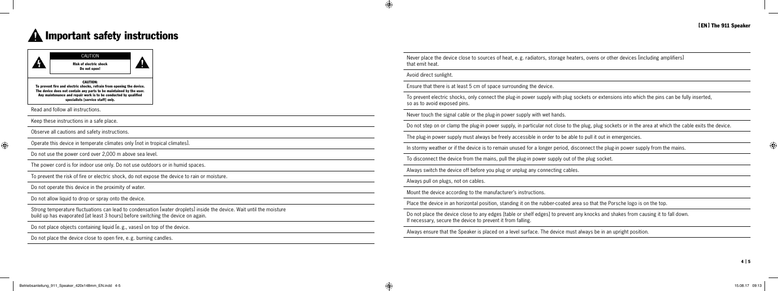◈

Do not place the device close to open fire, e.g. burning candles.

Never place the device close to sources of heat, e.g. radiators, storage heaters, ovens or other devices [including amplifiers] that emit heat.

Avoid direct sunlight.

 $\bigoplus$ 

Ensure that there is at least 5 cm of space surrounding the device.

To prevent electric shocks, only connect the plug-in power supply with plug sockets or extensions into which the pins can be fully inserted, so as to avoid exposed pins.

Never touch the signal cable or the plug-in power supply with wet hands.

Do not step on or clamp the plug-in power supply, in particular not close to the plug, plug sockets or in the area at which the cable exits the device.

The plug-in power supply must always be freely accessible in order to be able to pull it out in emergencies.

# **A** Important safety instructions



In stormy weather or if the device is to remain unused for a longer period, disconnect the plug-in power supply from the mains.

To disconnect the device from the mains, pull the plug-in power supply out of the plug socket.

Always switch the device off before you plug or unplug any connecting cables.

Always pull on plugs, not on cables.

Mount the device according to the manufacturer's instructions.

Place the device in an horizontal position, standing it on the rubber-coated area so that the Porsche logo is on the top.

Do not place the device close to any edges [table or shelf edges] to prevent any knocks and shakes from causing it to fall down. If necessary, secure the device to prevent it from falling.

Always ensure that the Speaker is placed on a level surface. The device must always be in an upright position.

 $\bigoplus$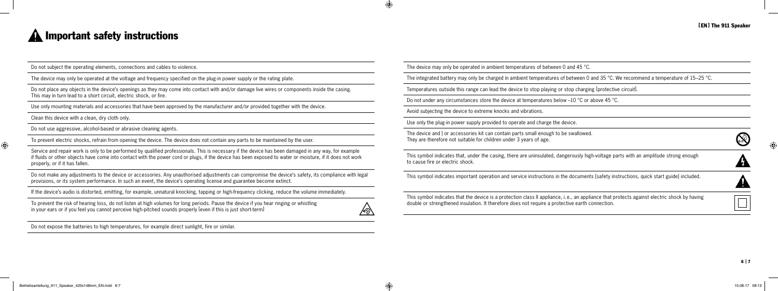#### [ EN ] The 911 Speaker

| and 45 °C. |  |
|------------|--|
|            |  |

| erously high-voltage parts with an amplitude strong enough |  |  |  |
|------------------------------------------------------------|--|--|--|
|                                                            |  |  |  |

 $\bigcirc$ 

## **A** Important safety instructions

Do not subject the operating elements, connections and cables to violence.

The device may only be operated at the voltage and frequency specified on the plug-in power supply or the rating plate.

Do not place any objects in the device's openings as they may come into contact with and/or damage live wires or components inside the casing. This may in turn lead to a short circuit, electric shock, or fire.

Use only mounting materials and accessories that have been approved by the manufacturer and/or provided together with the device.

Clean this device with a clean, dry cloth only.

Do not use aggressive, alcohol-based or abrasive cleaning agents.

To prevent electric shocks, refrain from opening the device. The device does not contain any parts to be maintained by the user.

Service and repair work is only to be performed by qualified professionals. This is necessary if the device has been damaged in any way, for example if fluids or other objects have come into contact with the power cord or plugs, if the device has been exposed to water or moisture, if it does not work properly, or if it has fallen.

Do not make any adjustments to the device or accessories. Any unauthorised adjustments can compromise the device's safety, its compliance with legal provisions, or its system performance. In such an event, the device's operating license and guarantee become extinct.

The device and  $\vert$  or accessories kit can contain parts small enough to be swallowed. They are therefore not suitable for children under 3 years of age.

This symbol indicates that, under the casing, there are uninsulated, danger to cause fire or electric shock.

If the device's audio is distorted, emitting, for example, unnatural knocking, tapping or high-frequency clicking, reduce the volume immediately.

To prevent the risk of hearing loss, do not listen at high volumes for long periods. Pause the device if you hear ringing or whistling in your ears or if you feel you cannot perceive high-pitched sounds properly [even if this is just short-term]

Do not expose the batteries to high temperatures, for example direct sunlight, fire or similar.

The device may only be operated in ambient temperatures of between  $0 \in$ 

The integrated battery may only be charged in ambient temperatures of between 0 and 35 °C. We recommend a temperature of 15–25 °C.

Temperatures outside this range can lead the device to stop playing or stop charging [protective circuit].

Do not under any circumstances store the device at temperatures below –10 °C or above 45 °C.

Avoid subjecting the device to extreme knocks and vibrations.

 $\bigoplus$ 

∕∘∑∖

Use only the plug-in power supply provided to operate and charge the device.

This symbol indicates important operation and service instructions in the documents [safety instructions, quick start guide] included.

This symbol indicates that the device is a protection class II appliance, i. e., an appliance that protects against electric shock by having double or strengthened insulation. It therefore does not require a protective earth connection.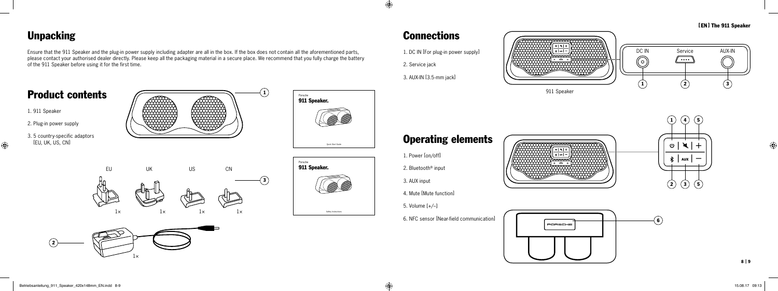

 $\overline{\phantom{a}}$  $\overline{\circ |x|+}$  $\frac{1}{\frac{1}{2}$  aux  $\frac{1}{2}$  $\overline{\circ}$   $\overline{\circ}$   $\overline{\circ}$ 



 $\bigcirc$ 

### Unpacking

 $\bigoplus$ 

Ensure that the 911 Speaker and the plug-in power supply including adapter are all in the box. If the box does not contain all the aforementioned parts, please contact your authorised dealer directly. Please keep all the packaging material in a secure place. We recommend that you fully charge the battery of the 911 Speaker before using it for the first time.



**Connections** 

1. DC IN [For plug-in power supply]

[EN] The 911 Speaker

2. Service jack

 $\bigoplus$ 

3. AUX-IN [3.5-mm jack]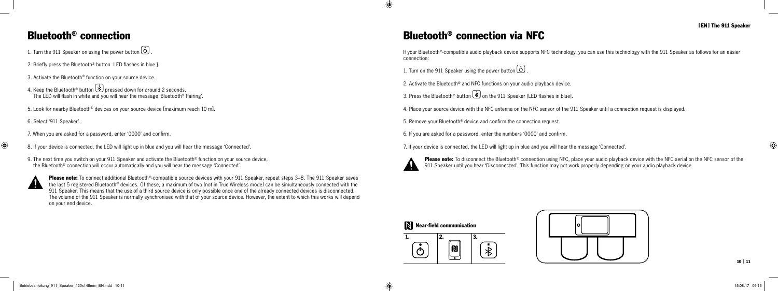



10 | 11

⊕

### Bluetooth® connection

1. Turn the 911 Speaker on using the power button (0)

- 2. Briefly press the Bluetooth<sup>®</sup> button LED flashes in blue ].
- 3. Activate the Bluetooth® function on your source device.
- 4. Keep the Bluetooth® button  $\left(\frac{\hat{x}}{2}\right)$  pressed down for around 2 seconds. The LED will flash in white and you will hear the message 'Bluetooth® Pairing'.
- 5. Look for nearby Bluetooth® devices on your source device [maximum reach 10 m].

6. Select '911 Speaker'.

- 7. When you are asked for a password, enter '0000' and confirm.
- $\bigoplus$
- 8. If your device is connected, the LED will light up in blue and you will hear the message 'Connected'.
- 9. The next time you switch on your 911 Speaker and activate the Bluetooth® function on your source device. the Bluetooth® connection will occur automatically and you will hear the message 'Connected'.



Please note: To connect additional Bluetooth®-compatible source devices with your 911 Speaker, repeat steps 3–8. The 911 Speaker saves the last 5 registered Bluetooth® devices. Of these, a maximum of two [not in True Wireless mode] can be simultaneously connected with the 911 Speaker. This means that the use of a third source device is only possible once one of the already connected devices is disconnected. The volume of the 911 Speaker is normally synchronised with that of your source device. However, the extent to which this works will depend on your end device.

Please note: To disconnect the Bluetooth® connection using NFC, place your audio playback device with the NFC aerial on the NFC sensor of the 911 Speaker until you hear 'Disconnected'. This function may not work properly depending on your audio playback device

#### Near-field communication

### Bluetooth® connection via NFC

If your Bluetooth®-compatible audio playback device supports NFC technology, you can use this technology with the 911 Speaker as follows for an easier connection:

1. Turn on the 911 Speaker using the power button 0

2. Activate the Bluetooth® and NFC functions on your audio playback device.

3. Press the Bluetooth® button  $\left(\frac{\hat{x}}{2}\right)$  on the 911 Speaker [LED flashes in blue].

4. Place your source device with the NFC antenna on the NFC sensor of the 911 Speaker until a connection request is displayed.

5. Remove your Bluetooth® device and confirm the connection request.

6. If you are asked for a password, enter the numbers '0000' and confirm.

7. If your device is connected, the LED will light up in blue and you will hear the message 'Connected'.



 $\bigcirc$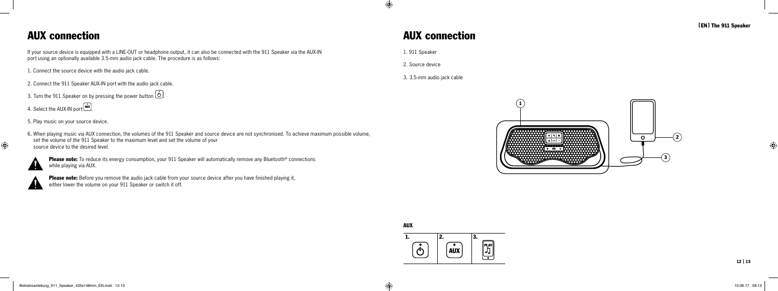



[EN] The 911 Speaker

12 | 13

⊕

### AUX connection

If your source device is equipped with a LINE-OUT or headphone output, it can also be connected with the 911 Speaker via the AUX-IN port using an optionally available 3.5-mm audio jack cable. The procedure is as follows:

1. Connect the source device with the audio jack cable.

Please note: To reduce its energy consumption, your 911 Speaker will automatically remove any Bluetooth<sup>®</sup> connections while playing via AUX.



Please note: Before you remove the audio jack cable from your source device after you have finished playing it, either lower the volume on your 911 Speaker or switch it off.

- 2. Connect the 911 Speaker AUX-IN port with the audio jack cable.
- 3. Turn the 911 Speaker on by pressing the power button  $(\stackrel{\circ}{\circ})$ .
- 4. Select the AUX-IN port (AUX).
- 5. Play music on your source device.
- 6. When playing music via AUX connection, the volumes of the 911 Speaker and source device are not synchronised. To achieve maximum possible volume, set the volume of the 911 Speaker to the maximum level and set the volume of your source device to the desired level.

 $\bigoplus$ 

### AUX connection

1. 911 Speaker

 $\bigoplus$ 

2. Source device

3. 3.5-mm audio jack cable

AUX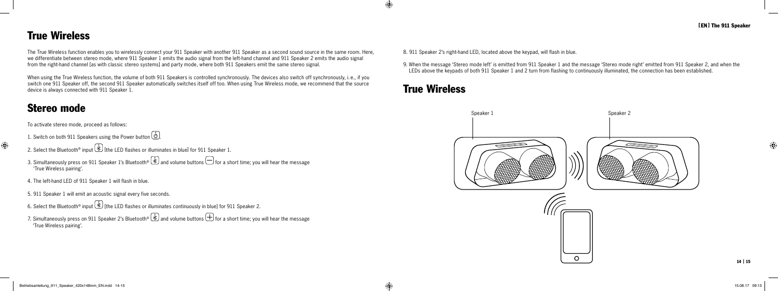

 $\bigcirc$ 

### True Wireless

The True Wireless function enables you to wirelessly connect your 911 Speaker with another 911 Speaker as a second sound source in the same room. Here, we differentiate between stereo mode, where 911 Speaker 1 emits the audio signal from the left-hand channel and 911 Speaker 2 emits the audio signal from the right-hand channel [as with classic stereo systems] and party mode, where both 911 Speakers emit the same stereo signal.

When using the True Wireless function, the volume of both 911 Speakers is controlled synchronously. The devices also switch off synchronously, i.e., if you switch one 911 Speaker off, the second 911 Speaker automatically switches itself off too. When using True Wireless mode, we recommend that the source device is always connected with 911 Speaker 1.

- 1. Switch on both 911 Speakers using the Power button  $(\stackrel{\circ}{\circ})$ .
- $\bigoplus$
- 2. Select the Bluetooth® input  $\bigcirc$  [the LED flashes or illuminates in blue] for 911 Speaker 1.
- 3. Simultaneously press on 911 Speaker 1's Bluetooth®  $\circledast$  and volume buttons  $\ominus$  for a short time; you will hear the message 'True Wireless pairing'.
- 4. The left-hand LED of 911 Speaker 1 will flash in blue.
- 5. 911 Speaker 1 will emit an acoustic signal every five seconds.
- 6. Select the Bluetooth® input  $\bigcirc$  [the LED flashes or illuminates continuously in blue] for 911 Speaker 2.
- 7. Simultaneously press on 911 Speaker 2's Bluetooth®  $\circledast$  and volume buttons  $\bigoplus$  for a short time; you will hear the message 'True Wireless pairing'.

### Stereo mode

To activate stereo mode, proceed as follows:

8. 911 Speaker 2's right-hand LED, located above the keypad, will flash in blue.

9. When the message 'Stereo mode left' is emitted from 911 Speaker 1 and the message 'Stereo mode right' emitted from 911 Speaker 2, and when the LEDs above the keypads of both 911 Speaker 1 and 2 turn from flashing to continuously illuminated, the connection has been established.

### True Wireless

 $\bigoplus$ 



 $\Omega$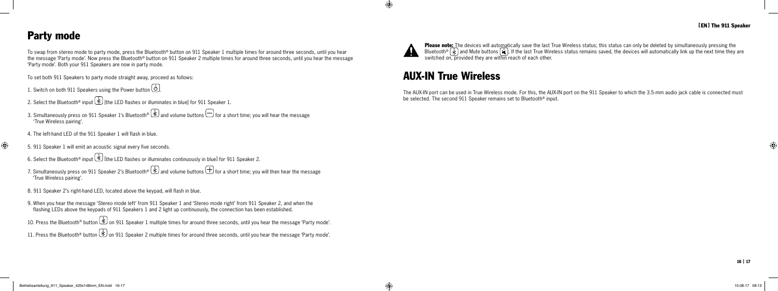16 | 17

#### Party mode

To swap from stereo mode to party mode, press the Bluetooth® button on 911 Speaker 1 multiple times for around three seconds, until you hear the message 'Party mode'. Now press the Bluetooth® button on 911 Speaker 2 multiple times for around three seconds, until you hear the message 'Party mode'. Both your 911 Speakers are now in party mode.

- 1. Switch on both 911 Speakers using the Power button .
- 2. Select the Bluetooth® input  $\bigcirc$  [the LED flashes or illuminates in blue] for 911 Speaker 1.
- 3. Simultaneously press on 911 Speaker 1's Bluetooth®  $\&$  and volume buttons  $\bigoplus$  for a short time; you will hear the message 'True Wireless pairing'.
- 4. The left-hand LED of the 911 Speaker 1 will flash in blue.
- $\bigoplus$ 
	- 5. 911 Speaker 1 will emit an acoustic signal every five seconds.
	- 6. Select the Bluetooth® input  $\bigcirc$  [the LED flashes or illuminates continuously in blue] for 911 Speaker 2.
	- 7. Simultaneously press on 911 Speaker 2's Bluetooth®  $\circledast$  and volume buttons  $\bigoplus$  for a short time; you will then hear the message 'True Wireless pairing'.
	- 8. 911 Speaker 2's right-hand LED, located above the keypad, will flash in blue.
	- 9. When you hear the message 'Stereo mode left' from 911 Speaker 1 and 'Stereo mode right' from 911 Speaker 2, and when the flashing LEDs above the keypads of 911 Speakers 1 and 2 light up continuously, the connection has been established.
	- 10. Press the Bluetooth® button  $\bigcup_{i=1}^{\infty}$  on 911 Speaker 1 multiple times for around three seconds, until you hear the message 'Party mode'.
	- 11. Press the Bluetooth® button  $\bigcirc$  on 911 Speaker 2 multiple times for around three seconds, until you hear the message 'Party mode'.

To set both 911 Speakers to party mode straight away, proceed as follows:

Please note: The devices will automatically save the last True Wireless status; this status can only be deleted by simultaneously pressing the Bluetooth® |  $\hat *$  | and Mute buttons |  $\bigstar$  |. If the last True Wireless status remains saved, the devices will automatically link up the next time they are switched on, provided they are within reach of each other.

### AUX-IN True Wireless

The AUX-IN port can be used in True Wireless mode. For this, the AUX-IN port on the 911 Speaker to which the 3.5-mm audio jack cable is connected must be selected. The second 911 Speaker remains set to Bluetooth® input.



 $\bigoplus$ 

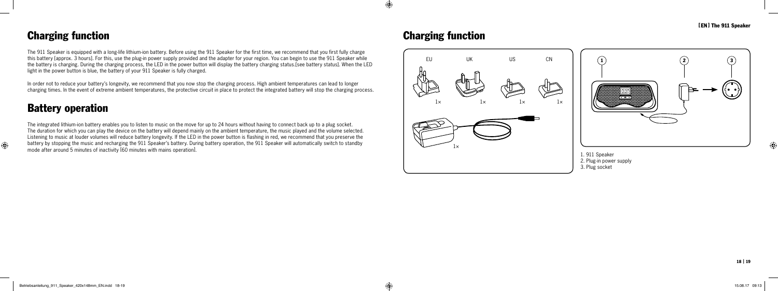



[EN] The 911 Speaker

 $\bigoplus$ 

### Charging function

The 911 Speaker is equipped with a long-life lithium-ion battery. Before using the 911 Speaker for the first time, we recommend that you first fully charge this battery [approx. 3 hours]. For this, use the plug-in power supply provided and the adapter for your region. You can begin to use the 911 Speaker while the battery is charging. During the charging process, the LED in the power button will display the battery charging status.[see battery status]. When the LED light in the power button is blue, the battery of your 911 Speaker is fully charged.

In order not to reduce your battery's longevity, we recommend that you now stop the charging process. High ambient temperatures can lead to longer charging times. In the event of extreme ambient temperatures, the protective circuit in place to protect the integrated battery will stop the charging process.

### Battery operation

 $\bigoplus$ 

The integrated lithium-ion battery enables you to listen to music on the move for up to 24 hours without having to connect back up to a plug socket. The duration for which you can play the device on the battery will depend mainly on the ambient temperature, the music played and the volume selected. Listening to music at louder volumes will reduce battery longevity. If the LED in the power button is flashing in red, we recommend that you preserve the battery by stopping the music and recharging the 911 Speaker's battery. During battery operation, the 911 Speaker will automatically switch to standby mode after around 5 minutes of inactivity [60 minutes with mains operation].

### Charging function

 $\bigoplus$ 

- 1. 911 Speaker
- 2. Plug-in power supply
- 3. Plug socket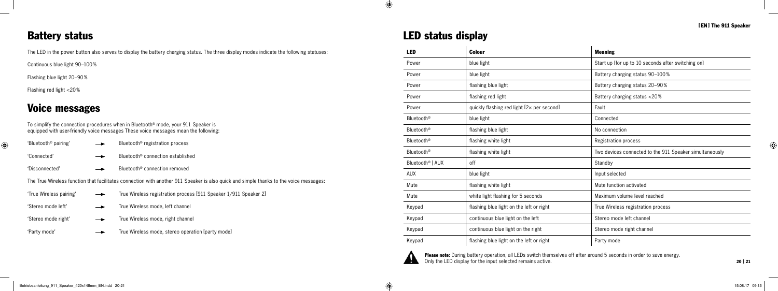### Battery status

The LED in the power button also serves to display the battery charging status. The three display modes indicate the following statuses:

Continuous blue light 90–100%

Flashing blue light 20–90%

Flashing red light <20%

### Voice messages

To simplify the connection procedures when in Bluetooth® mode, your 911 Speaker is equipped with user-friendly voice messages These voice messages mean the following:

| 'Bluetooth <sup>®</sup> pairing' | Bluetooth <sup>®</sup> registration process                                                                                            |
|----------------------------------|----------------------------------------------------------------------------------------------------------------------------------------|
| 'Connected'                      | Bluetooth <sup>®</sup> connection established                                                                                          |
| 'Disconnected'                   | Bluetooth <sup>®</sup> connection removed                                                                                              |
|                                  | The True Wireless function that facilitates connection with another 911 Speaker is also quick and simple thanks to the voice messages: |
| 'True Wireless pairing'          | True Wireless registration process [911 Speaker 1/911 Speaker 2]                                                                       |
| 'Stereo mode left'               | True Wireless mode, left channel                                                                                                       |
| 'Stereo mode right'              | True Wireless mode, right channel                                                                                                      |

'Party mode'  $\longrightarrow$  True Wireless mode, stereo operation [party mode]

|  | <b>LED status display</b> |  |  |
|--|---------------------------|--|--|
|--|---------------------------|--|--|

Please note: During battery operation, all LEDs switch themselves off after around 5 seconds in order to save energy. Only the LED display for the input selected remains active.

 $\bigoplus$ 

 $\bigoplus$ 

#### [EN] The 911 Speaker

 $\overline{\phantom{a}}$ 

 $\bigcirc$ 

| <b>LED</b>                   | <b>Colour</b>                              | <b>Meaning</b>                                          |
|------------------------------|--------------------------------------------|---------------------------------------------------------|
| Power                        | blue light                                 | Start up [for up to 10 seconds after switching on]      |
| Power                        | blue light                                 | Battery charging status 90-100%                         |
| Power                        | flashing blue light                        | Battery charging status 20-90%                          |
| Power                        | flashing red light                         | Battery charging status <20%                            |
| Power                        | quickly flashing red light [2x per second] | Fault                                                   |
| Bluetooth <sup>®</sup>       | blue light                                 | Connected                                               |
| Bluetooth <sup>®</sup>       | flashing blue light                        | No connection                                           |
| Bluetooth <sup>®</sup>       | flashing white light                       | Registration process                                    |
| Bluetooth <sup>®</sup>       | flashing white light                       | Two devices connected to the 911 Speaker simultaneously |
| Bluetooth <sup>®</sup>   AUX | off                                        | Standby                                                 |
| <b>AUX</b>                   | blue light                                 | Input selected                                          |
| Mute                         | flashing white light                       | Mute function activated                                 |
| Mute                         | white light flashing for 5 seconds         | Maximum volume level reached                            |
| Keypad                       | flashing blue light on the left or right   | True Wireless registration process                      |
| Keypad                       | continuous blue light on the left          | Stereo mode left channel                                |
| Keypad                       | continuous blue light on the right         | Stereo mode right channel                               |
| Keypad                       | flashing blue light on the left or right   | Party mode                                              |

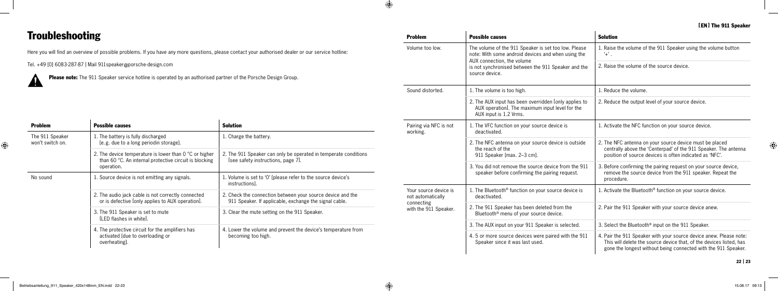#### [EN] The 911 Speaker

 $\overline{\phantom{a}}$ 

⊕

| <b>Problem</b>                             | <b>Possible causes</b>                                                                                                                   | <b>Solution</b>                                                                                                                                                                                             |
|--------------------------------------------|------------------------------------------------------------------------------------------------------------------------------------------|-------------------------------------------------------------------------------------------------------------------------------------------------------------------------------------------------------------|
| Volume too low.                            | The volume of the 911 Speaker is set too low. Please<br>note: With some android devices and when using the<br>AUX connection, the volume | 1. Raise the volume of the 911 Speaker using the volume button<br>$+^{\prime}$ .                                                                                                                            |
|                                            | is not synchronised between the 911 Speaker and the<br>source device.                                                                    | 2. Raise the volume of the source device.                                                                                                                                                                   |
| Sound distorted.                           | 1. The volume is too high.                                                                                                               | 1. Reduce the volume.                                                                                                                                                                                       |
|                                            | 2. The AUX input has been overridden [only applies to<br>AUX operation. The maximum input level for the<br>AUX input is 1.2 Vrms.        | 2. Reduce the output level of your source device.                                                                                                                                                           |
| Pairing via NFC is not<br>working.         | 1. The VFC function on your source device is<br>deactivated.                                                                             | 1. Activate the NFC function on your source device.                                                                                                                                                         |
|                                            | 2. The NFC antenna on your source device is outside<br>the reach of the<br>911 Speaker [max. 2-3 cm].                                    | 2. The NFC antenna on your source device must be placed<br>centrally above the 'Centerpad' of the 911 Speaker. The antenna<br>position of source devices is often indicated as 'NFC'.                       |
|                                            | 3. You did not remove the source device from the 911<br>speaker before confirming the pairing request.                                   | 3. Before confirming the pairing request on your source device,<br>remove the source device from the 911 speaker. Repeat the<br>procedure.                                                                  |
| Your source device is<br>not automatically | 1. The Bluetooth <sup>®</sup> function on your source device is<br>deactivated.                                                          | 1. Activate the Bluetooth® function on your source device.                                                                                                                                                  |
| connecting<br>with the 911 Speaker.        | 2. The 911 Speaker has been deleted from the<br>Bluetooth <sup>®</sup> menu of your source device.                                       | 2. Pair the 911 Speaker with your source device anew.                                                                                                                                                       |
|                                            | 3. The AUX input on your 911 Speaker is selected.                                                                                        | 3. Select the Bluetooth® input on the 911 Speaker.                                                                                                                                                          |
|                                            | 4. 5 or more source devices were paired with the 911<br>Speaker since it was last used.                                                  | 4. Pair the 911 Speaker with your source device anew. Please note:<br>This will delete the source device that, of the devices listed, has<br>gone the longest without being connected with the 911 Speaker. |

 $\mathbf{r}$ 

|                                     | <b>Please note:</b> The 911 Speaker service hotline is operated by an authorised partner of the Porsche Design Group.     |                                                                                                                      |                                            | source device.                                                                                                                    |                                                                             |
|-------------------------------------|---------------------------------------------------------------------------------------------------------------------------|----------------------------------------------------------------------------------------------------------------------|--------------------------------------------|-----------------------------------------------------------------------------------------------------------------------------------|-----------------------------------------------------------------------------|
|                                     |                                                                                                                           |                                                                                                                      | Sound distorted.                           | 1. The volume is too high.                                                                                                        | . Reduce the volume.                                                        |
|                                     |                                                                                                                           |                                                                                                                      |                                            | 2. The AUX input has been overridden [only applies to<br>AUX operation. The maximum input level for the<br>AUX input is 1.2 Vrms. | 2. Reduce the output                                                        |
| <b>Problem</b>                      | <b>Possible causes</b>                                                                                                    | <b>Solution</b>                                                                                                      | Pairing via NFC is not<br>working.         | I. The VFC function on your source device is<br>deactivated.                                                                      | 1. Activate the NFC fu                                                      |
| The 911 Speaker<br>won't switch on. | 1. The battery is fully discharged<br>[e.g. due to a long periodin storage].                                              | 1. Charge the battery.                                                                                               |                                            | 2. The NFC antenna on your source device is outside                                                                               | 2. The NFC antenna or                                                       |
|                                     | 2. The device temperature is lower than $0^{\circ}$ C or higher<br>than 60 °C. An internal protective circuit is blocking | 2. The 911 Speaker can only be operated in temperate conditions<br>[see safety instructions, page 7].                |                                            | the reach of the<br>911 Speaker [max. 2-3 cm].                                                                                    | centrally above the<br>position of source o                                 |
|                                     | operation.                                                                                                                |                                                                                                                      |                                            | 3. You did not remove the source device from the 911<br>speaker before confirming the pairing request.                            | 3. Before confirming t<br>remove the source                                 |
| No sound                            | . Source device is not emitting any signals.                                                                              | 1. Volume is set to '0' [please refer to the source device's<br>instructions].                                       |                                            |                                                                                                                                   | procedure.                                                                  |
|                                     | 2. The audio jack cable is not correctly connected<br>or is defective [only applies to AUX operation].                    | 2. Check the connection between your source device and the<br>911 Speaker. If applicable, exchange the signal cable. | Your source device is<br>not automatically | 1. The Bluetooth® function on your source device is<br>deactivated.                                                               | 1. Activate the Blueto                                                      |
|                                     | 3. The 911 Speaker is set to mute<br>[LED flashes in white].                                                              | 3. Clear the mute setting on the 911 Speaker.                                                                        | connecting<br>with the 911 Speaker.        | 2. The 911 Speaker has been deleted from the<br>Bluetooth <sup>®</sup> menu of your source device.                                | 2. Pair the 911 Speak                                                       |
|                                     | 4. The protective circuit for the amplifiers has                                                                          |                                                                                                                      |                                            | 3. The AUX input on your 911 Speaker is selected.                                                                                 | 3. Select the Bluetoot                                                      |
|                                     | activated [due to overloading or<br>overheating].                                                                         | 4. Lower the volume and prevent the device's temperature from<br>becoming too high.                                  |                                            | 4.5 or more source devices were paired with the 911<br>Speaker since it was last used.                                            | 4. Pair the 911 Speak<br>This will delete the<br>أرزر الممصصص المطالب مصمصا |

**Problem Possible causes** 

 $\bigoplus$ 

### Troubleshooting

 $\bigoplus$ 

Here you will find an overview of possible problems. If you have any more questions, please contact your authorised dealer or our service hotline:

Tel. +49 [0] 6083-287-87 | Mail 911speaker@porsche-design.com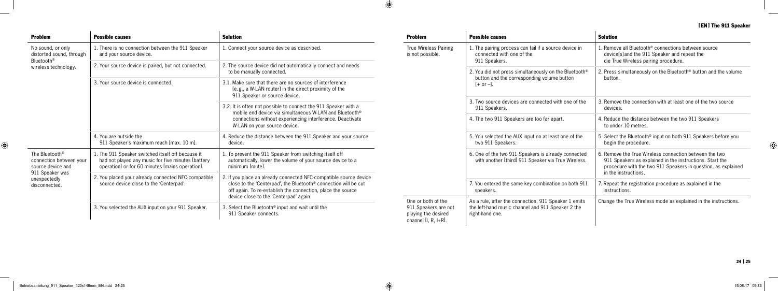| <b>Problem</b>                                                                      | <b>Possible causes</b>                                                                                                                                     | <b>Solution</b>                                                                                                                                                                                                                                                                          | <b>Problem</b>                                                                            | <b>Possible causes</b>                                                                                                                                       | <b>Solution</b>                                                                                                                                                                                                          |
|-------------------------------------------------------------------------------------|------------------------------------------------------------------------------------------------------------------------------------------------------------|------------------------------------------------------------------------------------------------------------------------------------------------------------------------------------------------------------------------------------------------------------------------------------------|-------------------------------------------------------------------------------------------|--------------------------------------------------------------------------------------------------------------------------------------------------------------|--------------------------------------------------------------------------------------------------------------------------------------------------------------------------------------------------------------------------|
| No sound, or only<br>distorted sound, through<br>Bluetooth®<br>wireless technology. | 1. There is no connection between the 911 Speaker<br>and your source device.                                                                               | I. Connect your source device as described.                                                                                                                                                                                                                                              | True Wireless Pairing<br>is not possible.                                                 | 1. The pairing process can fail if a source device in<br>connected with one of the<br>911 Speakers.<br>2. You did not press simultaneously on the Bluetooth® | . Remove all Bluetooth® connections between source<br>device[s] and the 911 Speaker and repeat the<br>die True Wireless pairing procedure.<br>2. Press simultaneously on the Bluetooth® button and the volume<br>button. |
|                                                                                     | 2. Your source device is paired, but not connected.                                                                                                        | 2. The source device did not automatically connect and needs<br>to be manually connected.                                                                                                                                                                                                |                                                                                           |                                                                                                                                                              |                                                                                                                                                                                                                          |
|                                                                                     | 3. Your source device is connected.                                                                                                                        | 3.1. Make sure that there are no sources of interference<br>Ie.g., a W-LAN routerl in the direct proximity of the<br>911 Speaker or source device.                                                                                                                                       |                                                                                           | button and the corresponding volume button<br>$[+$ or $-]$ .                                                                                                 |                                                                                                                                                                                                                          |
|                                                                                     |                                                                                                                                                            | 3.2. It is often not possible to connect the 911 Speaker with a                                                                                                                                                                                                                          | mobile end device via simultaneous W-LAN and Bluetooth®                                   | 3. Two source devices are connected with one of the<br>911 Speakers.                                                                                         | 3. Remove the connection with at least one of the two source<br>devices.                                                                                                                                                 |
|                                                                                     |                                                                                                                                                            | connections without experiencing interference. Deactivate<br>W-LAN on your source device.                                                                                                                                                                                                |                                                                                           | 4. The two 911 Speakers are too far apart.                                                                                                                   | 4. Reduce the distance between the two 911 Speakers<br>to under 10 metres.                                                                                                                                               |
|                                                                                     | 4. You are outside the<br>911 Speaker's maximum reach [max. 10 m].                                                                                         | 4. Reduce the distance between the 911 Speaker and your source<br>device.                                                                                                                                                                                                                |                                                                                           |                                                                                                                                                              | 5. You selected the AUX input on at least one of the<br>two 911 Speakers.                                                                                                                                                |
| The Bluetooth <sup>®</sup><br>connection between your<br>source device and          | 1. The 911 Speaker switched itself off because it<br>had not played any music for five minutes [battery<br>operation] or for 60 minutes [mains operation]. | . To prevent the 911 Speaker from switching itself off<br>automatically, lower the volume of your source device to a<br>minimum [mute].                                                                                                                                                  |                                                                                           | 6. One of the two 911 Speakers is already connected<br>with another [third] 911 Speaker via True Wireless.                                                   | 6. Remove the True Wireless connection between the two<br>911 Speakers as explained in the instructions. Start the<br>procedure with the two 911 Speakers in question, as explained<br>in the instructions.              |
| 911 Speaker was<br>unexpectedly<br>disconnected.                                    | 2. You placed your already connected NFC-compatible                                                                                                        | 2. If you place an already connected NFC-compatible source device<br>close to the 'Centerpad', the Bluetooth® connection will be cut<br>source device close to the 'Centerpad'.<br>off again. To re-establish the connection, place the source<br>device close to the 'Centerpad' again. |                                                                                           | 7. You entered the same key combination on both 911                                                                                                          | 7. Repeat the registration procedure as explained in the                                                                                                                                                                 |
|                                                                                     |                                                                                                                                                            |                                                                                                                                                                                                                                                                                          |                                                                                           | speakers.                                                                                                                                                    | instructions.                                                                                                                                                                                                            |
|                                                                                     | 3. You selected the AUX input on your 911 Speaker.                                                                                                         | 3. Select the Bluetooth® input and wait until the<br>911 Speaker connects.                                                                                                                                                                                                               | One or both of the<br>911 Speakers are not<br>playing the desired<br>channel [I, R, I+R]. | As a rule, after the connection, 911 Speaker 1 emits<br>the left-hand music channel and 911 Speaker 2 the<br>right-hand one.                                 | Change the True Wireless mode as explained in the instructions.                                                                                                                                                          |

 $\bigoplus$ 

--

#### [EN] The 911 Speaker

 $\overline{\phantom{a}}$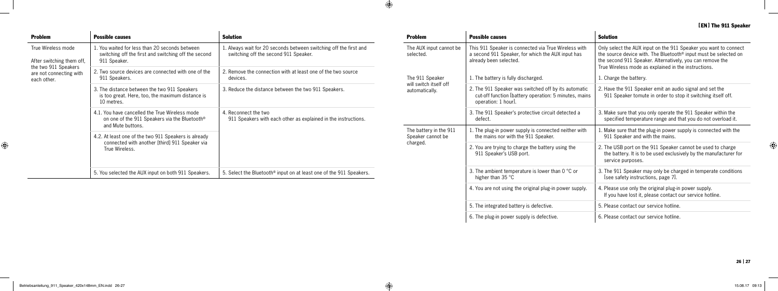| <b>Problem</b>                                                 | <b>Possible causes</b>                                                                                                | <b>Solution</b>                                                                                                                                               | <b>Problem</b>                                                                                                                                                                                                                                                                                                                                                                                                                                                                                                                                                                                                                                                                                                                                                 | <b>Possible causes</b>                                                                                                                                                                                        | <b>Solution</b>                                                                                                                                       |
|----------------------------------------------------------------|-----------------------------------------------------------------------------------------------------------------------|---------------------------------------------------------------------------------------------------------------------------------------------------------------|----------------------------------------------------------------------------------------------------------------------------------------------------------------------------------------------------------------------------------------------------------------------------------------------------------------------------------------------------------------------------------------------------------------------------------------------------------------------------------------------------------------------------------------------------------------------------------------------------------------------------------------------------------------------------------------------------------------------------------------------------------------|---------------------------------------------------------------------------------------------------------------------------------------------------------------------------------------------------------------|-------------------------------------------------------------------------------------------------------------------------------------------------------|
| True Wireless mode<br>After switching them off.                | . You waited for less than 20 seconds between<br>switching off the first and switching off the second<br>911 Speaker. | 1. Always wait for 20 seconds between switching off the first and<br>switching off the second 911 Speaker.                                                    | This 911 Speaker is connected via True Wireless with<br>The AUX input cannot be<br>a second 911 Speaker, for which the AUX input has<br>selected.<br>already been selected.<br>The 911 Speaker<br>1. The battery is fully discharged.<br>will switch itself off<br>2. The 911 Speaker was switched off by its automatic<br>automatically.<br>operation: 1 hour].<br>3. The 911 Speaker's protective circuit detected a<br>defect.<br>1. The plug-in power supply is connected neither with<br>The battery in the 911<br>Speaker cannot be<br>the mains nor with the 911 Speaker.<br>charged.<br>2. You are trying to charge the battery using the<br>911 Speaker's USB port.<br>3. The ambient temperature is lower than $0^{\circ}$ C or<br>higher than 35 °C | Only select the AUX input on the 911 Speaker you want to connect<br>the source device with. The Bluetooth <sup>®</sup> input must be selected on<br>the second 911 Speaker. Alternatively, you can remove the |                                                                                                                                                       |
| the two 911 Speakers<br>are not connecting with<br>each other. | 2. Two source devices are connected with one of the<br>911 Speakers.                                                  | 2. Remove the connection with at least one of the two source<br>devices.                                                                                      |                                                                                                                                                                                                                                                                                                                                                                                                                                                                                                                                                                                                                                                                                                                                                                |                                                                                                                                                                                                               | True Wireless mode as explained in the instructions.<br>1. Charge the battery.                                                                        |
|                                                                | 3. The distance between the two 911 Speakers<br>is too great. Here, too, the maximum distance is<br>10 metres.        | 3. Reduce the distance between the two 911 Speakers.                                                                                                          |                                                                                                                                                                                                                                                                                                                                                                                                                                                                                                                                                                                                                                                                                                                                                                | cut-off function [battery operation: 5 minutes, mains                                                                                                                                                         | 2. Have the 911 Speaker emit an audio signal and set the<br>911 Speaker tomute in order to stop it switching itself off.                              |
|                                                                | 4.1. You have cancelled the True Wireless mode<br>on one of the 911 Speakers via the Bluetooth®<br>and Mute buttons.  | 4. Reconnect the two<br>911 Speakers with each other as explained in the instructions.<br>5. Select the Bluetooth® input on at least one of the 911 Speakers. |                                                                                                                                                                                                                                                                                                                                                                                                                                                                                                                                                                                                                                                                                                                                                                |                                                                                                                                                                                                               | 3. Make sure that you only operate the 911 Speaker within the<br>specified temperature range and that you do not overload it.                         |
|                                                                | 4.2. At least one of the two 911 Speakers is already                                                                  |                                                                                                                                                               |                                                                                                                                                                                                                                                                                                                                                                                                                                                                                                                                                                                                                                                                                                                                                                |                                                                                                                                                                                                               | . Make sure that the plug-in power supply is connected with the<br>911 Speaker and with the mains.                                                    |
|                                                                | connected with another [third] 911 Speaker via<br>True Wireless.                                                      |                                                                                                                                                               |                                                                                                                                                                                                                                                                                                                                                                                                                                                                                                                                                                                                                                                                                                                                                                |                                                                                                                                                                                                               | 2. The USB port on the 911 Speaker cannot be used to charge<br>the battery. It is to be used exclusively by the manufacturer for<br>service purposes. |
|                                                                | 5. You selected the AUX input on both 911 Speakers.                                                                   |                                                                                                                                                               |                                                                                                                                                                                                                                                                                                                                                                                                                                                                                                                                                                                                                                                                                                                                                                |                                                                                                                                                                                                               | 3. The 911 Speaker may only be charged in temperate conditions<br>Isee safety instructions, page 71.                                                  |
|                                                                |                                                                                                                       |                                                                                                                                                               |                                                                                                                                                                                                                                                                                                                                                                                                                                                                                                                                                                                                                                                                                                                                                                | 4. You are not using the original plug-in power supply.                                                                                                                                                       | 4. Please use only the original plug-in power supply.<br>If you have lost it, please contact our service hotline.                                     |
|                                                                |                                                                                                                       |                                                                                                                                                               |                                                                                                                                                                                                                                                                                                                                                                                                                                                                                                                                                                                                                                                                                                                                                                | 5. The integrated battery is defective.                                                                                                                                                                       | 5. Please contact our service hotline.                                                                                                                |
|                                                                |                                                                                                                       |                                                                                                                                                               |                                                                                                                                                                                                                                                                                                                                                                                                                                                                                                                                                                                                                                                                                                                                                                | 6. The plug-in power supply is defective.                                                                                                                                                                     | 6. Please contact our service hotline.                                                                                                                |

 $\bigoplus$ 

 $\bigoplus$ 

#### [EN] The 911 Speaker



 $\overline{\phantom{a}}$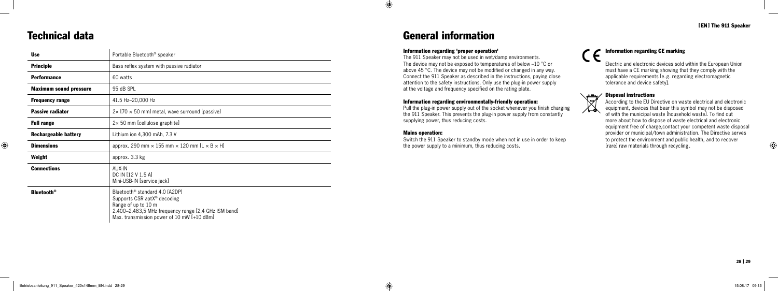

⊕

### Technical data

#### Information regarding 'proper operation'

The 911 Speaker may not be used in wet/damp environments. The device may not be exposed to temperatures of below –10 °C or above 45 °C. The device may not be modified or changed in any way. Connect the 911 Speaker as described in the instructions, paying close attention to the safety instructions. Only use the plug-in power supply at the voltage and frequency specified on the rating plate.

#### Information regarding environmentally-friendly operation:

Pull the plug-in power supply out of the socket whenever you finish charging the 911 Speaker. This prevents the plug-in power supply from constantly supplying power, thus reducing costs.

#### Mains operation:

 $\bigoplus$ 

Switch the 911 Speaker to standby mode when not in use in order to keep the power supply to a minimum, thus reducing costs.

#### [EN] The 911 Speaker

### General information

#### Information regarding CE marking

Electric and electronic devices sold within the European Union must have a CE marking showing that they comply with the applicable requirements [e.g. regarding electromagnetic tolerance and device safety].

#### Disposal instructions



According to the EU Directive on waste electrical and electronic equipment, devices that bear this symbol may not be disposed of with the municipal waste [household waste]. To find out more about how to dispose of waste electrical and electronic equipment free of charge,contact your competent waste disposal provider or municipal/town administration. The Directive serves to protect the environment and public health, and to recover [rare] raw materials through recycling .

| <b>Use</b>                    | Portable Bluetooth <sup>®</sup> speaker                                                                                                                                                                            |
|-------------------------------|--------------------------------------------------------------------------------------------------------------------------------------------------------------------------------------------------------------------|
| <b>Principle</b>              | Bass reflex system with passive radiator                                                                                                                                                                           |
| <b>Performance</b>            | 60 watts                                                                                                                                                                                                           |
| <b>Maximum sound pressure</b> | 95 dB SPL                                                                                                                                                                                                          |
| <b>Frequency range</b>        | 41.5 Hz-20,000 Hz                                                                                                                                                                                                  |
| <b>Passive radiator</b>       | $2 \times$ [70 $\times$ 50 mm] metal, wave surround [passive]                                                                                                                                                      |
| <b>Full range</b>             | $2 \times 50$ mm [cellulose graphite]                                                                                                                                                                              |
| <b>Rechargeable battery</b>   | Lithium ion 4,300 mAh, 7.3 V                                                                                                                                                                                       |
| <b>Dimensions</b>             | approx. 290 mm $\times$ 155 mm $\times$ 120 mm [L $\times$ B $\times$ H]                                                                                                                                           |
| Weight                        | approx. 3.3 kg                                                                                                                                                                                                     |
| <b>Connections</b>            | AUX-IN<br>DC IN [12 V 1.5 A]<br>Mini-USB-IN [service jack]                                                                                                                                                         |
| <b>Bluetooth</b> <sup>®</sup> | Bluetooth <sup>®</sup> standard 4.0 [A2DP]<br>Supports CSR apt $X^{\circ}$ decoding<br>Range of up to 10 m<br>2.400–2.483,5 MHz frequency range [2,4 GHz ISM band]<br>Max. transmission power of 10 mW $[+10$ dBm] |